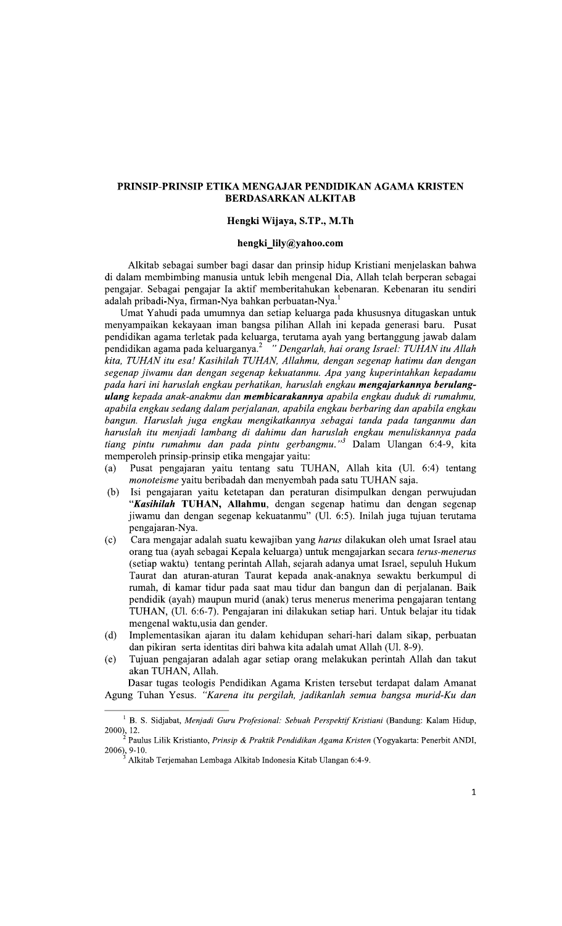# PRINSIP-PRINSIP ETIKA MENGAJAR PENDIDIKAN AGAMA KRISTEN **BERDASARKAN ALKITAB**

### Hengki Wijaya, S.TP., M.Th

#### hengki\_lily@yahoo.com

Alkitab sebagai sumber bagi dasar dan prinsip hidup Kristiani menjelaskan bahwa di dalam membimbing manusia untuk lebih mengenal Dia, Allah telah berperan sebagai pengajar. Sebagai pengajar Ia aktif memberitahukan kebenaran. Kebenaran itu sendiri adalah pribadi-Nya, firman-Nya bahkan perbuatan-Nya.<sup>1</sup>

Umat Yahudi pada umumnya dan setiap keluarga pada khususnya ditugaskan untuk menyampaikan kekayaan iman bangsa pilihan Allah ini kepada generasi baru. Pusat pendidikan agama terletak pada keluarga, terutama ayah yang bertanggung jawab dalam pendidikan agama pada keluarganya.<sup>2</sup> "Dengarlah, hai orang Israel: TUHAN itu Allah kita, TUHAN itu esa! Kasihilah TUHAN, Allahmu, dengan segenap hatimu dan dengan segenap jiwamu dan dengan segenap kekuatanmu. Apa yang kuperintahkan kepadamu pada hari ini haruslah engkau perhatikan, haruslah engkau mengajarkannya berulangulang kepada anak-anakmu dan membicarakannya apabila engkau duduk di rumahmu, apabila engkau sedang dalam perjalanan, apabila engkau berbaring dan apabila engkau bangun. Haruslah juga engkau mengikatkannya sebagai tanda pada tanganmu dan haruslah itu menjadi lambang di dahimu dan haruslah engkau menuliskannya pada tiang pintu rumahmu dan pada pintu gerbangmu."<sup>3</sup> Dalam Ulangan 6:4-9, kita memperoleh prinsip-prinsip etika mengajar yaitu:

- Pusat pengajaran yaitu tentang satu TUHAN, Allah kita (Ul. 6:4) tentang (a) *monoteisme* yaitu beribadah dan menyembah pada satu TUHAN saja.
- $(b)$ Isi pengajaran yaitu ketetapan dan peraturan disimpulkan dengan perwujudan "Kasihilah TUHAN, Allahmu, dengan segenap hatimu dan dengan segenap jiwamu dan dengan segenap kekuatanmu" (Ul. 6:5). Inilah juga tujuan terutama pengajaran-Nya.
- $(c)$ Cara mengajar adalah suatu kewajiban yang *harus* dilakukan oleh umat Israel atau orang tua (ayah sebagai Kepala keluarga) untuk mengajarkan secara terus-menerus (setiap waktu) tentang perintah Allah, sejarah adanya umat Israel, sepuluh Hukum Taurat dan aturan-aturan Taurat kepada anak-anaknya sewaktu berkumpul di rumah, di kamar tidur pada saat mau tidur dan bangun dan di perjalanan. Baik pendidik (ayah) maupun murid (anak) terus menerus menerima pengajaran tentang TUHAN, (Ul. 6:6-7). Pengajaran ini dilakukan setiap hari. Untuk belajar itu tidak mengenal waktu, usia dan gender.
- $(d)$ Implementasikan ajaran itu dalam kehidupan sehari-hari dalam sikap, perbuatan dan pikiran serta identitas diri bahwa kita adalah umat Allah (Ul. 8-9).
- $(e)$ Tujuan pengajaran adalah agar setiap orang melakukan perintah Allah dan takut akan TUHAN, Allah.

Dasar tugas teologis Pendidikan Agama Kristen tersebut terdapat dalam Amanat Agung Tuhan Yesus. "Karena itu pergilah, jadikanlah semua bangsa murid-Ku dan

<sup>&</sup>lt;sup>1</sup> B. S. Sidjabat, Menjadi Guru Profesional: Sebuah Perspektif Kristiani (Bandung: Kalam Hidup,  $2000$ , 12.

Paulus Lilik Kristianto, Prinsip & Praktik Pendidikan Agama Kristen (Yogyakarta: Penerbit ANDI, 2006), 9-10.

Alkitab Terjemahan Lembaga Alkitab Indonesia Kitab Ulangan 6:4-9.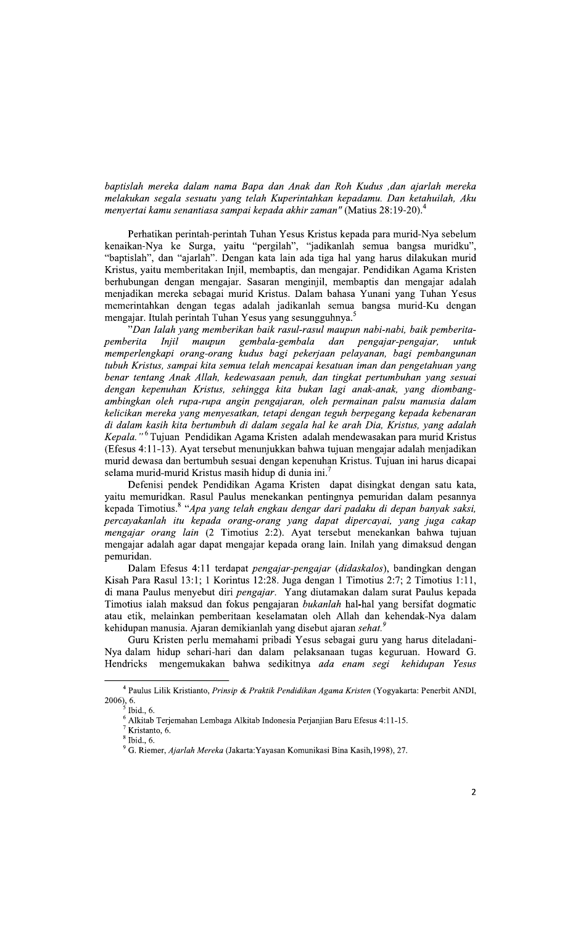baptislah mereka dalam nama Bapa dan Anak dan Roh Kudus ,dan ajarlah mereka melakukan segala sesuatu yang telah Kuperintahkan kepadamu. Dan ketahuilah, Aku menyertai kamu senantiasa sampai kepada akhir zaman" (Matius 28:19-20).

Perhatikan perintah-perintah Tuhan Yesus Kristus kepada para murid-Nya sebelum kenaikan-Nya ke Surga, yaitu "pergilah", "jadikanlah semua bangsa muridku", "baptislah", dan "ajarlah". Dengan kata lain ada tiga hal yang harus dilakukan murid Kristus, yaitu memberitakan Injil, membaptis, dan mengajar. Pendidikan Agama Kristen berhubungan dengan mengajar. Sasaran menginjil, membaptis dan mengajar adalah menjadikan mereka sebagai murid Kristus. Dalam bahasa Yunani yang Tuhan Yesus memerintahkan dengan tegas adalah jadikanlah semua bangsa murid-Ku dengan mengajar. Itulah perintah Tuhan Yesus yang sesungguhnya.<sup>5</sup>

"Dan Ialah yang memberikan baik rasul-rasul maupun nabi-nabi, baik pemberita-*Injil* таирип gembala-gembala pemberita dan pengajar-pengajar, untuk memperlengkapi orang-orang kudus bagi pekerjaan pelayanan, bagi pembangunan tubuh Kristus, sampai kita semua telah mencapai kesatuan iman dan pengetahuan yang benar tentang Anak Allah, kedewasaan penuh, dan tingkat pertumbuhan yang sesuai dengan kepenuhan Kristus, sehingga kita bukan lagi anak-anak, yang diombangambingkan oleh rupa-rupa angin pengajaran, oleh permainan palsu manusia dalam kelicikan mereka yang menyesatkan, tetapi dengan teguh berpegang kepada kebenaran di dalam kasih kita bertumbuh di dalam segala hal ke arah Dia, Kristus, yang adalah Kepala."<sup>6</sup> Tujuan Pendidikan Agama Kristen adalah mendewasakan para murid Kristus (Efesus 4:11-13). Ayat tersebut menunjukkan bahwa tujuan mengajar adalah menjadikan murid dewasa dan bertumbuh sesuai dengan kepenuhan Kristus. Tujuan ini harus dicapai selama murid-murid Kristus masih hidup di dunia ini.<sup>7</sup>

Defenisi pendek Pendidikan Agama Kristen dapat disingkat dengan satu kata, yaitu memuridkan. Rasul Paulus menekankan pentingnya pemuridan dalam pesannya kepada Timotius.<sup>8</sup> "Apa yang telah engkau dengar dari padaku di depan banyak saksi, percayakanlah itu kepada orang-orang yang dapat dipercayai, yang juga cakap mengajar orang lain (2 Timotius 2:2). Ayat tersebut menekankan bahwa tujuan mengajar adalah agar dapat mengajar kepada orang lain. Inilah yang dimaksud dengan pemuridan.

Dalam Efesus 4:11 terdapat pengajar-pengajar (didaskalos), bandingkan dengan Kisah Para Rasul 13:1; 1 Korintus 12:28. Juga dengan 1 Timotius 2:7; 2 Timotius 1:11, di mana Paulus menyebut diri pengajar. Yang diutamakan dalam surat Paulus kepada Timotius ialah maksud dan fokus pengajaran bukanlah hal-hal yang bersifat dogmatic atau etik, melainkan pemberitaan keselamatan oleh Allah dan kehendak-Nya dalam kehidupan manusia. Ajaran demikianlah yang disebut ajaran sehat.<sup>9</sup>

Guru Kristen perlu memahami pribadi Yesus sebagai guru yang harus diteladani-Nya dalam hidup sehari-hari dan dalam pelaksanaan tugas keguruan. Howard G. mengemukakan bahwa sedikitnya ada enam segi kehidupan Yesus Hendricks

 $^4$  Paulus Lilik Kristianto, Prinsip & Praktik Pendidikan Agama Kristen (Yogyakarta: Penerbit ANDI,  $2006$ ,  $6.$ 

Thid., 6.

<sup>&</sup>lt;sup>6</sup> Alkitab Terjemahan Lembaga Alkitab Indonesia Perjanjian Baru Efesus 4:11-15.

 $^7$  Kristanto, 6.

 $<sup>8</sup>$  Ibid., 6.</sup>

<sup>&</sup>lt;sup>9</sup> G. Riemer, Ajarlah Mereka (Jakarta: Yayasan Komunikasi Bina Kasih, 1998), 27.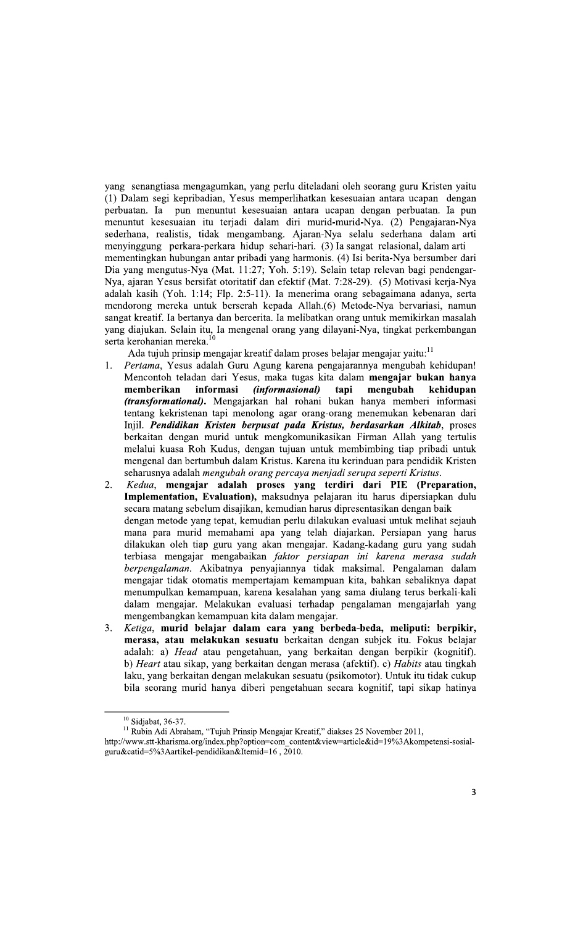yang senangtiasa mengagumkan, yang perlu diteladani oleh seorang guru Kristen yaitu (1) Dalam segi kepribadian, Yesus memperlihatkan kesesuaian antara ucapan dengan perbuatan. Ia pun menuntut kesesuaian antara ucapan dengan perbuatan. Ia pun menuntut kesesuaian itu terjadi dalam diri murid-murid-Nya. (2) Pengajaran-Nya sederhana, realistis, tidak mengambang. Ajaran-Nya selalu sederhana dalam arti menyinggung perkara-perkara hidup sehari-hari. (3) Ia sangat relasional, dalam arti mementingkan hubungan antar pribadi yang harmonis. (4) Isi berita-Nya bersumber dari Dia yang mengutus-Nya (Mat. 11:27; Yoh. 5:19). Selain tetap relevan bagi pendengar-Nya, ajaran Yesus bersifat otoritatif dan efektif (Mat. 7:28-29). (5) Motivasi kerja-Nya adalah kasih (Yoh. 1:14; Flp. 2:5-11). Ia menerima orang sebagaimana adanya, serta mendorong mereka untuk berserah kepada Allah.(6) Metode-Nya bervariasi, namun sangat kreatif. Ia bertanya dan bercerita. Ia melibatkan orang untuk memikirkan masalah yang diajukan. Selain itu, Ia mengenal orang yang dilayani-Nya, tingkat perkembangan serta kerohanian mereka.<sup>10</sup>

Ada tujuh prinsip mengajar kreatif dalam proses belajar mengajar yaitu:<sup>11</sup>

- $1<sub>1</sub>$ Pertama, Yesus adalah Guru Agung karena pengajarannya mengubah kehidupan! Mencontoh teladan dari Yesus, maka tugas kita dalam mengajar bukan hanya (informasional) mengubah memberikan informasi tapi kehidupan (transformational). Mengajarkan hal rohani bukan hanya memberi informasi tentang kekristenan tapi menolong agar orang-orang menemukan kebenaran dari Injil. Pendidikan Kristen berpusat pada Kristus, berdasarkan Alkitab, proses berkaitan dengan murid untuk mengkomunikasikan Firman Allah yang tertulis melalui kuasa Roh Kudus, dengan tujuan untuk membimbing tiap pribadi untuk mengenal dan bertumbuh dalam Kristus. Karena itu kerinduan para pendidik Kristen seharusnya adalah mengubah orang percaya menjadi serupa seperti Kristus.
- Kedua, mengajar adalah proses yang terdiri dari PIE (Preparation,  $2.5$ Implementation, Evaluation), maksudnya pelajaran itu harus dipersiapkan dulu secara matang sebelum disajikan, kemudian harus dipresentasikan dengan baik dengan metode yang tepat, kemudian perlu dilakukan evaluasi untuk melihat sejauh mana para murid memahami apa yang telah diajarkan. Persiapan yang harus dilakukan oleh tiap guru yang akan mengajar. Kadang-kadang guru yang sudah terbiasa mengajar mengabaikan faktor persiapan ini karena merasa sudah berpengalaman. Akibatnya penyajiannya tidak maksimal. Pengalaman dalam mengajar tidak otomatis mempertajam kemampuan kita, bahkan sebaliknya dapat menumpulkan kemampuan, karena kesalahan yang sama diulang terus berkali-kali dalam mengajar. Melakukan evaluasi terhadap pengalaman mengajarlah yang mengembangkan kemampuan kita dalam mengajar.
- Ketiga, murid belajar dalam cara yang berbeda-beda, meliputi: berpikir,  $3.$ merasa, atau melakukan sesuatu berkaitan dengan subjek itu. Fokus belajar adalah: a) Head atau pengetahuan, yang berkaitan dengan berpikir (kognitif). b) *Heart* atau sikap, yang berkaitan dengan merasa (afektif). c) *Habits* atau tingkah laku, yang berkaitan dengan melakukan sesuatu (psikomotor). Untuk itu tidak cukup bila seorang murid hanya diberi pengetahuan secara kognitif, tapi sikap hatinya

 $10$  Sidjabat, 36-37.

<sup>&</sup>lt;sup>11</sup> Rubin Adi Abraham, "Tujuh Prinsip Mengajar Kreatif," diakses 25 November 2011,

http://www.stt-kharisma.org/index.php?option=com\_content&view=article&id=19%3Akompetensi-sosialguru&catid=5%3Aartikel-pendidikan&Itemid=16, 2010.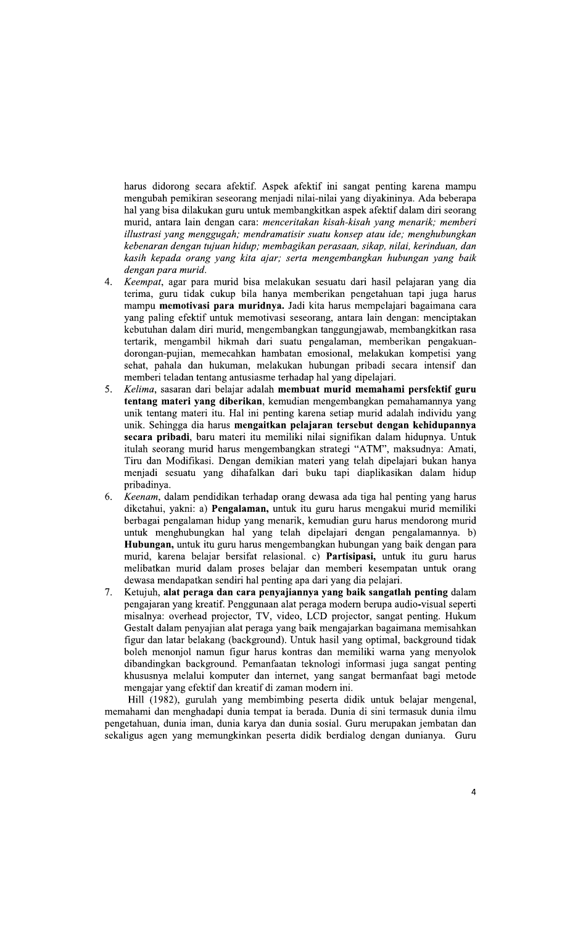harus didorong secara afektif. Aspek afektif ini sangat penting karena mampu mengubah pemikiran seseorang menjadi nilai-nilai yang diyakininya. Ada beberapa hal yang bisa dilakukan guru untuk membangkitkan aspek afektif dalam diri seorang murid, antara lain dengan cara: menceritakan kisah-kisah yang menarik; memberi illustrasi yang menggugah; mendramatisir suatu konsep atau ide; menghubungkan kebenaran dengan tujuan hidup; membagikan perasaan, sikap, nilai, kerinduan, dan kasih kepada orang yang kita ajar; serta mengembangkan hubungan yang baik dengan para murid.

- Keempat, agar para murid bisa melakukan sesuatu dari hasil pelajaran yang dia  $4.$ terima, guru tidak cukup bila hanya memberikan pengetahuan tapi juga harus mampu memotivasi para muridnya. Jadi kita harus mempelajari bagaimana cara yang paling efektif untuk memotivasi seseorang, antara lain dengan: menciptakan kebutuhan dalam diri murid, mengembangkan tanggungjawab, membangkitkan rasa tertarik, mengambil hikmah dari suatu pengalaman, memberikan pengakuandorongan-pujian, memecahkan hambatan emosional, melakukan kompetisi yang sehat, pahala dan hukuman, melakukan hubungan pribadi secara intensif dan memberi teladan tentang antusiasme terhadap hal yang dipelajari.
- Kelima, sasaran dari belajar adalah membuat murid memahami persfektif guru  $5<sup>7</sup>$ tentang materi yang diberikan, kemudian mengembangkan pemahamannya yang unik tentang materi itu. Hal ini penting karena setiap murid adalah individu yang unik. Sehingga dia harus mengaitkan pelajaran tersebut dengan kehidupannya secara pribadi, baru materi itu memiliki nilai signifikan dalam hidupnya. Untuk itulah seorang murid harus mengembangkan strategi "ATM", maksudnya: Amati, Tiru dan Modifikasi. Dengan demikian materi yang telah dipelajari bukan hanya menjadi sesuatu yang dihafalkan dari buku tapi diaplikasikan dalam hidup pribadinya.
- 6. Keenam, dalam pendidikan terhadap orang dewasa ada tiga hal penting yang harus diketahui, yakni: a) Pengalaman, untuk itu guru harus mengakui murid memiliki berbagai pengalaman hidup yang menarik, kemudian guru harus mendorong murid untuk menghubungkan hal yang telah dipelajari dengan pengalamannya. b) Hubungan, untuk itu guru harus mengembangkan hubungan yang baik dengan para murid, karena belajar bersifat relasional. c) Partisipasi, untuk itu guru harus melibatkan murid dalam proses belajar dan memberi kesempatan untuk orang dewasa mendapatkan sendiri hal penting apa dari yang dia pelajari.
- 7. Ketujuh, alat peraga dan cara penyajiannya yang baik sangatlah penting dalam pengajaran yang kreatif. Penggunaan alat peraga modern berupa audio-visual seperti misalnya: overhead projector, TV, video, LCD projector, sangat penting. Hukum Gestalt dalam penyajian alat peraga yang baik mengajarkan bagaimana memisahkan figur dan latar belakang (background). Untuk hasil yang optimal, background tidak boleh menonjol namun figur harus kontras dan memiliki warna yang menyolok dibandingkan background. Pemanfaatan teknologi informasi juga sangat penting khususnya melalui komputer dan internet, yang sangat bermanfaat bagi metode mengajar yang efektif dan kreatif di zaman modern ini.

Hill (1982), gurulah yang membimbing peserta didik untuk belajar mengenal, memahami dan menghadapi dunia tempat ia berada. Dunia di sini termasuk dunia ilmu pengetahuan, dunia iman, dunia karya dan dunia sosial. Guru merupakan jembatan dan sekaligus agen yang memungkinkan peserta didik berdialog dengan dunianya. Guru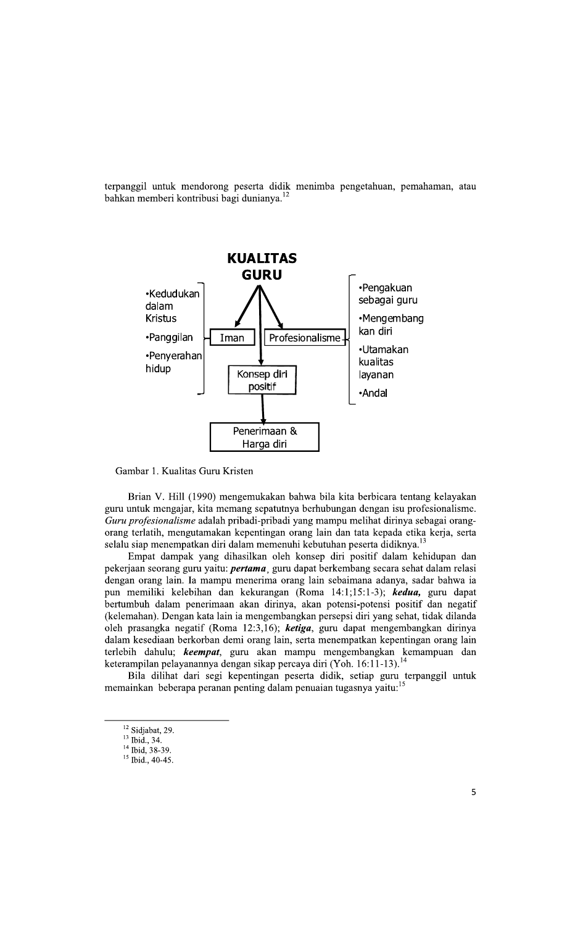terpanggil untuk mendorong peserta didik menimba pengetahuan, pemahaman, atau bahkan memberi kontribusi bagi dunianya.<sup>12</sup>



Gambar 1. Kualitas Guru Kristen

Brian V. Hill (1990) mengemukakan bahwa bila kita berbicara tentang kelayakan guru untuk mengajar, kita memang sepatutnya berhubungan dengan isu profesionalisme. Guru profesionalisme adalah pribadi-pribadi yang mampu melihat dirinya sebagai orangorang terlatih, mengutamakan kepentingan orang lain dan tata kepada etika kerja, serta selalu siap menempatkan diri dalam memenuhi kebutuhan peserta didiknya.<sup>1</sup>

Empat dampak yang dihasilkan oleh konsep diri positif dalam kehidupan dan pekerjaan seorang guru yaitu: *pertama*, guru dapat berkembang secara sehat dalam relasi dengan orang lain. Ia mampu menerima orang lain sebaimana adanya, sadar bahwa ia pun memiliki kelebihan dan kekurangan (Roma 14:1;15:1-3); kedua, guru dapat bertumbuh dalam penerimaan akan dirinya, akan potensi-potensi positif dan negatif (kelemahan). Dengan kata lain ia mengembangkan persepsi diri yang sehat, tidak dilanda oleh prasangka negatif (Roma 12:3,16); ketiga, guru dapat mengembangkan dirinya dalam kesediaan berkorban demi orang lain, serta menempatkan kepentingan orang lain terlebih dahulu; keempat, guru akan mampu mengembangkan kemampuan dan keterampilan pelayanannya dengan sikap percaya diri (Yoh. 16:11-13).<sup>14</sup>

Bila dilihat dari segi kepentingan peserta didik, setiap guru terpanggil untuk memainkan beberapa peranan penting dalam penuaian tugasnya yaitu:<sup>15</sup>

<sup>&</sup>lt;sup>12</sup> Sidjabat, 29.

 $^{13}$  Ibid., 34.

<sup>&</sup>lt;sup>14</sup> Ibid, 38-39.

<sup>&</sup>lt;sup>15</sup> Ibid., 40-45.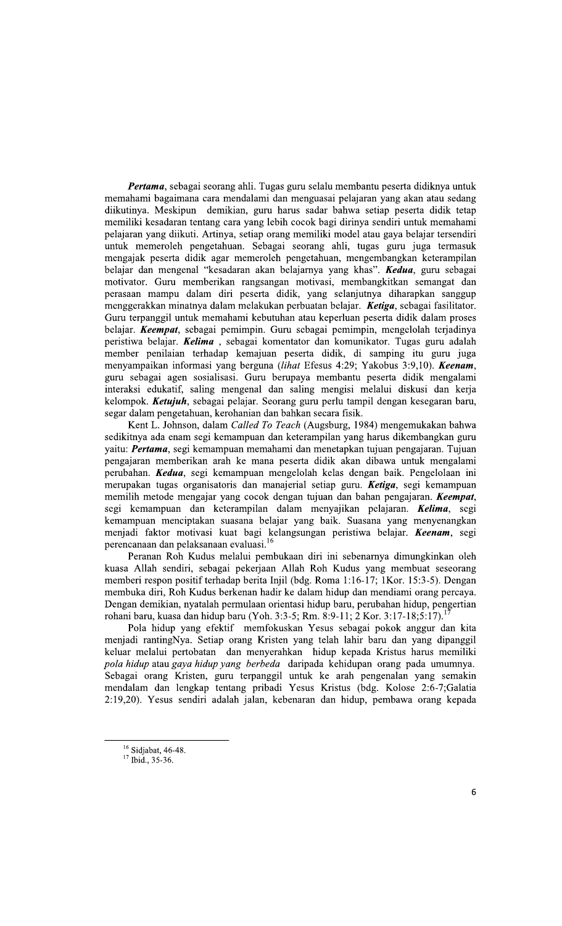Pertama, sebagai seorang ahli. Tugas guru selalu membantu peserta didiknya untuk memahami bagaimana cara mendalami dan menguasai pelajaran yang akan atau sedang diikutinya. Meskipun demikian, guru harus sadar bahwa setiap peserta didik tetap memiliki kesadaran tentang cara yang lebih cocok bagi dirinya sendiri untuk memahami pelajaran yang diikuti. Artinya, setiap orang memiliki model atau gaya belajar tersendiri untuk memeroleh pengetahuan. Sebagai seorang ahli, tugas guru juga termasuk mengajak peserta didik agar memeroleh pengetahuan, mengembangkan keterampilan belajar dan mengenal "kesadaran akan belajarnya yang khas". Kedua, guru sebagai motivator. Guru memberikan rangsangan motivasi, membangkitkan semangat dan perasaan mampu dalam diri peserta didik, yang selanjutnya diharapkan sanggup menggerakkan minatnya dalam melakukan perbuatan belajar. Ketiga, sebagai fasilitator. Guru terpanggil untuk memahami kebutuhan atau keperluan peserta didik dalam proses belajar. Keempat, sebagai pemimpin. Guru sebagai pemimpin, mengelolah terjadinya peristiwa belajar. Kelima, sebagai komentator dan komunikator. Tugas guru adalah member penilaian terhadap kemajuan peserta didik, di samping itu guru juga menyampaikan informasi yang berguna (lihat Efesus 4:29; Yakobus 3:9,10). Keenam, guru sebagai agen sosialisasi. Guru berupaya membantu peserta didik mengalami interaksi edukatif, saling mengenal dan saling mengisi melalui diskusi dan kerja kelompok. Ketujuh, sebagai pelajar. Seorang guru perlu tampil dengan kesegaran baru, segar dalam pengetahuan, kerohanian dan bahkan secara fisik.

Kent L. Johnson, dalam Called To Teach (Augsburg, 1984) mengemukakan bahwa sedikitnya ada enam segi kemampuan dan keterampilan yang harus dikembangkan guru yaitu: Pertama, segi kemampuan memahami dan menetapkan tujuan pengajaran. Tujuan pengajaran memberikan arah ke mana peserta didik akan dibawa untuk mengalami perubahan. Kedua, segi kemampuan mengelolah kelas dengan baik. Pengelolaan ini merupakan tugas organisatoris dan manajerial setiap guru. Ketiga, segi kemampuan memilih metode mengajar yang cocok dengan tujuan dan bahan pengajaran. Keempat, segi kemampuan dan keterampilan dalam menyajikan pelajaran. Kelima, segi kemampuan menciptakan suasana belajar yang baik. Suasana yang menyenangkan menjadi faktor motivasi kuat bagi kelangsungan peristiwa belajar. Keenam, segi perencanaan dan pelaksanaan evaluasi.<sup>1</sup>

Peranan Roh Kudus melalui pembukaan diri ini sebenarnya dimungkinkan oleh kuasa Allah sendiri, sebagai pekerjaan Allah Roh Kudus yang membuat seseorang memberi respon positif terhadap berita Injil (bdg. Roma 1:16-17; 1Kor. 15:3-5). Dengan membuka diri, Roh Kudus berkenan hadir ke dalam hidup dan mendiami orang percaya. Dengan demikian, nyatalah permulaan orientasi hidup baru, perubahan hidup, pengertian rohani baru, kuasa dan hidup baru (Yoh. 3:3-5; Rm. 8:9-11; 2 Kor. 3:17-18;5:17).

Pola hidup yang efektif memfokuskan Yesus sebagai pokok anggur dan kita menjadi rantingNya. Setiap orang Kristen yang telah lahir baru dan yang dipanggil keluar melalui pertobatan dan menyerahkan hidup kepada Kristus harus memiliki pola hidup atau gaya hidup yang berbeda daripada kehidupan orang pada umumnya. Sebagai orang Kristen, guru terpanggil untuk ke arah pengenalan yang semakin mendalam dan lengkap tentang pribadi Yesus Kristus (bdg. Kolose 2:6-7;Galatia 2:19,20). Yesus sendiri adalah jalan, kebenaran dan hidup, pembawa orang kepada

 $16$  Sidjabat, 46-48.

<sup>&</sup>lt;sup>17</sup> Ibid., 35-36.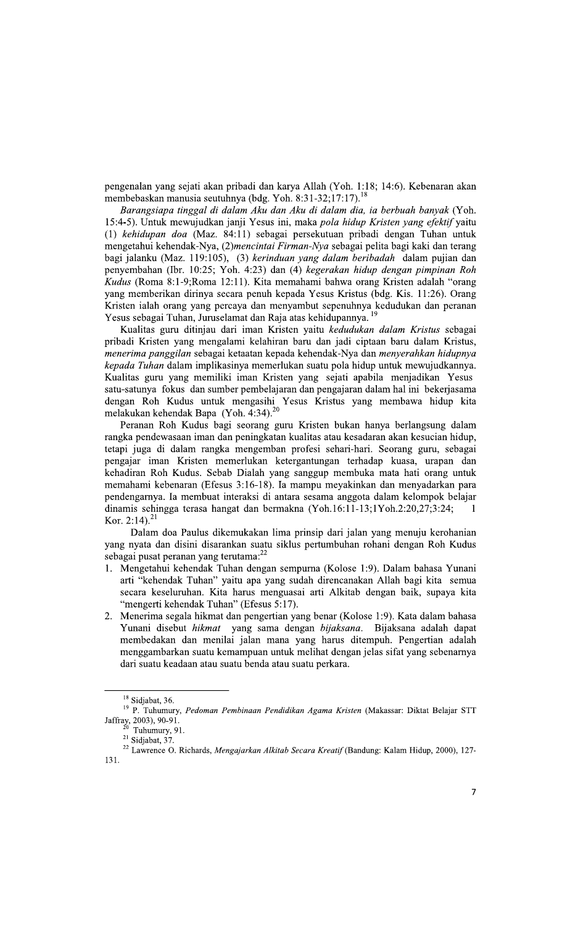pengenalan yang sejati akan pribadi dan karya Allah (Yoh. 1:18; 14:6). Kebenaran akan membebaskan manusia seutuhnya (bdg. Yoh. 8:31-32;17:17).

Barangsiapa tinggal di dalam Aku dan Aku di dalam dia, ia berbuah banyak (Yoh. 15:4-5). Untuk mewujudkan janji Yesus ini, maka pola hidup Kristen yang efektif yaitu (1) kehidupan doa (Maz. 84:11) sebagai persekutuan pribadi dengan Tuhan untuk mengetahui kehendak-Nya, (2)mencintai Firman-Nya sebagai pelita bagi kaki dan terang bagi jalanku (Maz. 119:105), (3) kerinduan yang dalam beribadah dalam pujian dan penyembahan (Ibr. 10:25; Yoh. 4:23) dan (4) kegerakan hidup dengan pimpinan Roh Kudus (Roma 8:1-9; Roma 12:11). Kita memahami bahwa orang Kristen adalah "orang yang memberikan dirinya secara penuh kepada Yesus Kristus (bdg. Kis. 11:26). Orang Kristen ialah orang yang percaya dan menyambut sepenuhnya kedudukan dan peranan Yesus sebagai Tuhan, Juruselamat dan Raja atas kehidupannya.

Kualitas guru ditinjau dari iman Kristen yaitu kedudukan dalam Kristus sebagai pribadi Kristen yang mengalami kelahiran baru dan jadi ciptaan baru dalam Kristus, menerima panggilan sebagai ketaatan kepada kehendak-Nya dan menyerahkan hidupnya kepada Tuhan dalam implikasinya memerlukan suatu pola hidup untuk mewujudkannya. Kualitas guru yang memiliki iman Kristen yang sejati apabila menjadikan Yesus satu-satunya fokus dan sumber pembelajaran dan pengajaran dalam hal ini bekerjasama dengan Roh Kudus untuk mengasihi Yesus Kristus yang membawa hidup kita melakukan kehendak Bapa (Yoh. 4:34).<sup>20</sup>

Peranan Roh Kudus bagi seorang guru Kristen bukan hanya berlangsung dalam rangka pendewasaan iman dan peningkatan kualitas atau kesadaran akan kesucian hidup, tetapi juga di dalam rangka mengemban profesi sehari-hari. Seorang guru, sebagai pengajar iman Kristen memerlukan ketergantungan terhadap kuasa, urapan dan kehadiran Roh Kudus. Sebab Dialah yang sanggup membuka mata hati orang untuk memahami kebenaran (Efesus 3:16-18). Ia mampu meyakinkan dan menyadarkan para pendengarnya. Ia membuat interaksi di antara sesama anggota dalam kelompok belajar dinamis sehingga terasa hangat dan bermakna (Yoh.16:11-13;1Yoh.2:20,27;3:24; 1 Kor. 2:14).<sup>2</sup>

Dalam doa Paulus dikemukakan lima prinsip dari jalan yang menuju kerohanian yang nyata dan disini disarankan suatu siklus pertumbuhan rohani dengan Roh Kudus sebagai pusat peranan yang terutama:<sup>22</sup>

- 1. Mengetahui kehendak Tuhan dengan sempurna (Kolose 1:9). Dalam bahasa Yunani arti "kehendak Tuhan" yaitu apa yang sudah direncanakan Allah bagi kita semua secara keseluruhan. Kita harus menguasai arti Alkitab dengan baik, supaya kita "mengerti kehendak Tuhan" (Efesus 5:17).
- 2. Menerima segala hikmat dan pengertian yang benar (Kolose 1:9). Kata dalam bahasa Yunani disebut *hikmat* yang sama dengan *bijaksana*. Bijaksana adalah dapat membedakan dan menilai jalan mana yang harus ditempuh. Pengertian adalah menggambarkan suatu kemampuan untuk melihat dengan jelas sifat yang sebenarnya dari suatu keadaan atau suatu benda atau suatu perkara.

 $^{18}$  Sidjabat, 36.  $\,$ 

<sup>19</sup> P. Tuhumury, Pedoman Pembinaan Pendidikan Agama Kristen (Makassar: Diktat Belajar STT Jaffray, 2003), 90-91.

Tuhumury, 91.

<sup>&</sup>lt;sup>21</sup> Sidjabat, 37

<sup>&</sup>lt;sup>22</sup> Lawrence O. Richards, Mengajarkan Alkitab Secara Kreatif (Bandung: Kalam Hidup, 2000), 127- $131.$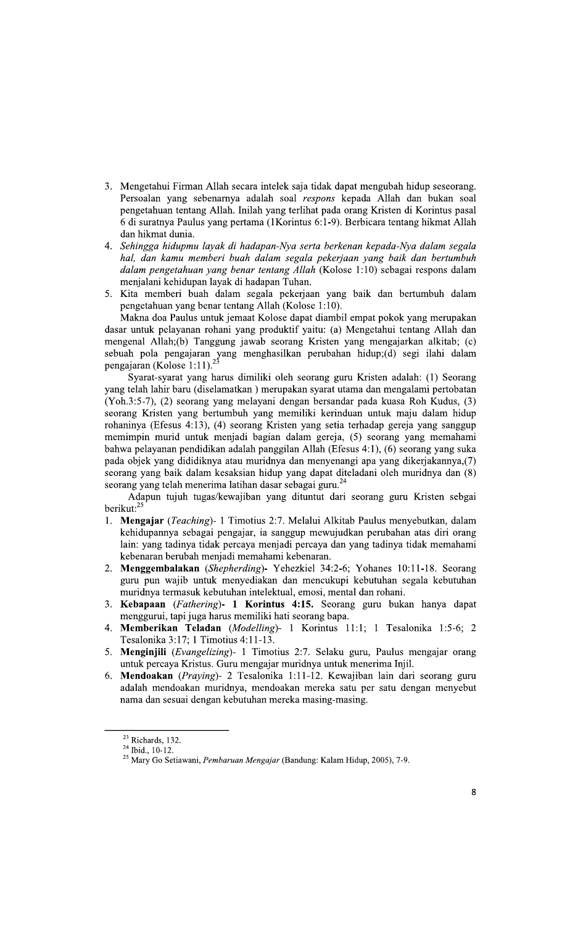- 3. Mengetahui Firman Allah secara intelek saja tidak dapat mengubah hidup seseorang. Persoalan yang sebenarnya adalah soal respons kepada Allah dan bukan soal pengetahuan tentang Allah. Inilah yang terlihat pada orang Kristen di Korintus pasal 6 di suratnya Paulus yang pertama (1 Korintus 6:1-9). Berbicara tentang hikmat Allah dan hikmat dunia.
- 4. Sehingga hidupmu layak di hadapan-Nya serta berkenan kepada-Nya dalam segala hal, dan kamu memberi buah dalam segala pekerjaan yang baik dan bertumbuh dalam pengetahuan yang benar tentang Allah (Kolose 1:10) sebagai respons dalam menjalani kehidupan layak di hadapan Tuhan.
- 5. Kita memberi buah dalam segala pekerjaan yang baik dan bertumbuh dalam pengetahuan yang benar tentang Allah (Kolose 1:10).

Makna doa Paulus untuk jemaat Kolose dapat diambil empat pokok yang merupakan dasar untuk pelayanan rohani yang produktif yaitu: (a) Mengetahui tentang Allah dan mengenal Allah;(b) Tanggung jawab seorang Kristen yang mengajarkan alkitab; (c) sebuah pola pengajaran yang menghasilkan perubahan hidup;(d) segi ilahi dalam pengajaran (Kolose 1:11).<sup>23</sup>

Syarat-syarat yang harus dimiliki oleh seorang guru Kristen adalah: (1) Seorang yang telah lahir baru (diselamatkan) merupakan syarat utama dan mengalami pertobatan (Yoh.3:5-7), (2) seorang yang melayani dengan bersandar pada kuasa Roh Kudus, (3) seorang Kristen yang bertumbuh yang memiliki kerinduan untuk maju dalam hidup rohaninya (Efesus 4:13), (4) seorang Kristen yang setia terhadap gereja yang sanggup memimpin murid untuk menjadi bagian dalam gereja, (5) seorang yang memahami bahwa pelayanan pendidikan adalah panggilan Allah (Efesus 4:1), (6) seorang yang suka pada objek yang dididiknya atau muridnya dan menyenangi apa yang dikerjakannya,(7) seorang yang baik dalam kesaksian hidup yang dapat diteladani oleh muridnya dan (8) seorang yang telah menerima latihan dasar sebagai guru.<sup>24</sup>

Adapun tujuh tugas/kewajiban yang dituntut dari seorang guru Kristen sebgai berikut: $^{2}$ 

- 1. Mengajar (Teaching) 1 Timotius 2:7. Melalui Alkitab Paulus menyebutkan, dalam kehidupannya sebagai pengajar, ia sanggup mewujudkan perubahan atas diri orang lain: yang tadinya tidak percaya menjadi percaya dan yang tadinya tidak memahami kebenaran berubah menjadi memahami kebenaran.
- 2. Menggembalakan (Shepherding)- Yehezkiel 34:2-6; Yohanes 10:11-18. Seorang guru pun wajib untuk menyediakan dan mencukupi kebutuhan segala kebutuhan muridnya termasuk kebutuhan intelektual, emosi, mental dan rohani.
- 3. Kebapaan (Fathering)- 1 Korintus 4:15. Seorang guru bukan hanya dapat menggurui, tapi juga harus memiliki hati seorang bapa.
- 4. Memberikan Teladan (Modelling)- 1 Korintus 11:1; 1 Tesalonika 1:5-6; 2 Tesalonika 3:17; 1 Timotius 4:11-13.
- 5. Menginjili (Evangelizing)- 1 Timotius 2:7. Selaku guru, Paulus mengajar orang untuk percaya Kristus. Guru mengajar muridnya untuk menerima Injil.
- 6. Mendoakan (Praying) 2 Tesalonika 1:11-12. Kewajiban lain dari seorang guru adalah mendoakan muridnya, mendoakan mereka satu per satu dengan menyebut nama dan sesuai dengan kebutuhan mereka masing-masing.

 $23$  Richards, 132.

 $^{24}$  Ibid., 10-12.

<sup>&</sup>lt;sup>25</sup> Mary Go Setiawani, Pembaruan Mengajar (Bandung: Kalam Hidup, 2005), 7-9.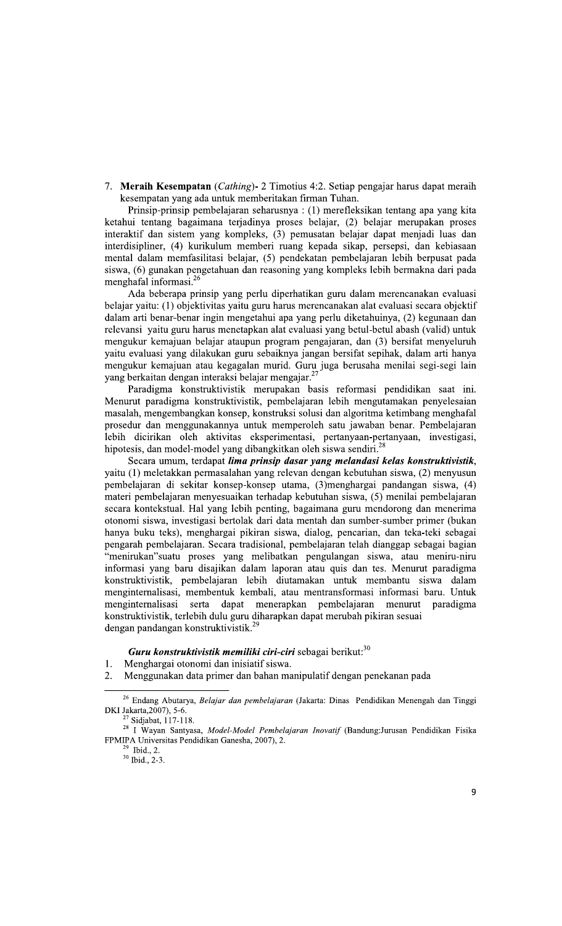7. Meraih Kesempatan (Cathing) - 2 Timotius 4:2. Setiap pengajar harus dapat meraih kesempatan yang ada untuk memberitakan firman Tuhan.

Prinsip-prinsip pembelajaran seharusnya : (1) merefleksikan tentang apa yang kita ketahui tentang bagaimana terjadinya proses belajar, (2) belajar merupakan proses interaktif dan sistem yang kompleks, (3) pemusatan belajar dapat menjadi luas dan interdisipliner, (4) kurikulum memberi ruang kepada sikap, persepsi, dan kebiasaan mental dalam memfasilitasi belajar, (5) pendekatan pembelajaran lebih berpusat pada siswa, (6) gunakan pengetahuan dan reasoning yang kompleks lebih bermakna dari pada menghafal informasi.<sup>26</sup>

Ada beberapa prinsip yang perlu diperhatikan guru dalam merencanakan evaluasi belajar yaitu: (1) objektivitas yaitu guru harus merencanakan alat evaluasi secara objektif dalam arti benar-benar ingin mengetahui apa yang perlu diketahuinya, (2) kegunaan dan relevansi yaitu guru harus menetapkan alat evaluasi yang betul-betul abash (valid) untuk mengukur kemajuan belajar ataupun program pengajaran, dan (3) bersifat menyeluruh yaitu evaluasi yang dilakukan guru sebaiknya jangan bersifat sepihak, dalam arti hanya mengukur kemajuan atau kegagalan murid. Guru juga berusaha menilai segi-segi lain yang berkaitan dengan interaksi belajar mengajar.<sup>2</sup>

Paradigma konstruktivistik merupakan basis reformasi pendidikan saat ini. Menurut paradigma konstruktivistik, pembelajaran lebih mengutamakan penyelesaian masalah, mengembangkan konsep, konstruksi solusi dan algoritma ketimbang menghafal prosedur dan menggunakannya untuk memperoleh satu jawaban benar. Pembelajaran lebih dicirikan oleh aktivitas eksperimentasi, pertanyaan-pertanyaan, investigasi, hipotesis, dan model-model yang dibangkitkan oleh siswa sendiri.<sup>28</sup>

Secara umum, terdapat lima prinsip dasar yang melandasi kelas konstruktivistik, yaitu (1) meletakkan permasalahan yang relevan dengan kebutuhan siswa, (2) menyusun pembelajaran di sekitar konsep-konsep utama, (3)menghargai pandangan siswa, (4) materi pembelajaran menyesuaikan terhadap kebutuhan siswa, (5) menilai pembelajaran secara kontekstual. Hal yang lebih penting, bagaimana guru mendorong dan menerima otonomi siswa, investigasi bertolak dari data mentah dan sumber-sumber primer (bukan hanya buku teks), menghargai pikiran siswa, dialog, pencarian, dan teka-teki sebagai pengarah pembelajaran. Secara tradisional, pembelajaran telah dianggap sebagai bagian "menirukan"suatu proses yang melibatkan pengulangan siswa, atau meniru-niru informasi yang baru disajikan dalam laporan atau quis dan tes. Menurut paradigma konstruktivistik, pembelajaran lebih diutamakan untuk membantu siswa dalam menginternalisasi, membentuk kembali, atau mentransformasi informasi baru. Untuk menginternalisasi serta dapat menerapkan pembelajaran menurut paradigma konstruktivistik, terlebih dulu guru diharapkan dapat merubah pikiran sesuai dengan pandangan konstruktivistik.<sup>29</sup>

## **Guru konstruktivistik memiliki ciri-ciri sebagai berikut:**  $30$

- $1.$ Menghargai otonomi dan inisiatif siswa.
- 2. Menggunakan data primer dan bahan manipulatif dengan penekanan pada

 $^{29}$  Ibid., 2.  $30$  Ibid., 2-3.

<sup>&</sup>lt;sup>26</sup> Endang Abutarya, Belajar dan pembelajaran (Jakarta: Dinas Pendidikan Menengah dan Tinggi DKI Jakarta, 2007), 5-6.

 $27$  Sidjabat, 117-118.

<sup>&</sup>lt;sup>28</sup> I Wayan Santyasa, Model-Model Pembelajaran Inovatif (Bandung:Jurusan Pendidikan Fisika FPMIPA Universitas Pendidikan Ganesha, 2007), 2.